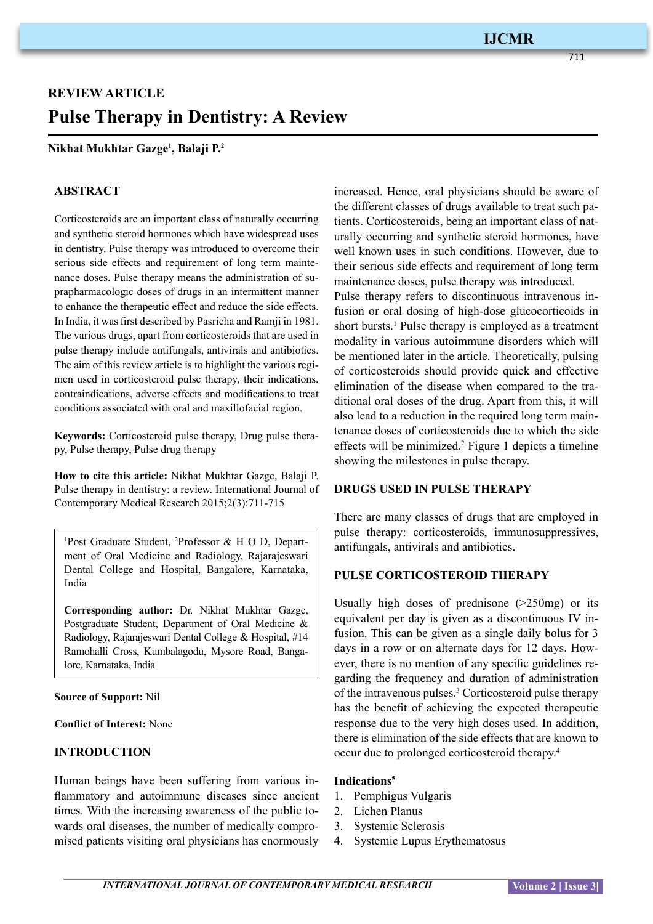# **REVIEW ARTICLE Pulse Therapy in Dentistry: A Review**

## **Nikhat Mukhtar Gazge1 , Balaji P.2**

#### **ABSTRACT**

Corticosteroids are an important class of naturally occurring and synthetic steroid hormones which have widespread uses in dentistry. Pulse therapy was introduced to overcome their serious side effects and requirement of long term maintenance doses. Pulse therapy means the administration of suprapharmacologic doses of drugs in an intermittent manner to enhance the therapeutic effect and reduce the side effects. In India, it was first described by Pasricha and Ramji in 1981. The various drugs, apart from corticosteroids that are used in pulse therapy include antifungals, antivirals and antibiotics. The aim of this review article is to highlight the various regimen used in corticosteroid pulse therapy, their indications, contraindications, adverse effects and modifications to treat conditions associated with oral and maxillofacial region.

**Keywords:** Corticosteroid pulse therapy, Drug pulse therapy, Pulse therapy, Pulse drug therapy

**How to cite this article:** Nikhat Mukhtar Gazge, Balaji P. Pulse therapy in dentistry: a review. International Journal of Contemporary Medical Research 2015;2(3):711-715

1 Post Graduate Student, <sup>2</sup> Professor & H O D, Department of Oral Medicine and Radiology, Rajarajeswari Dental College and Hospital, Bangalore, Karnataka, India

**Corresponding author:** Dr. Nikhat Mukhtar Gazge, Postgraduate Student, Department of Oral Medicine & Radiology, Rajarajeswari Dental College & Hospital, #14 Ramohalli Cross, Kumbalagodu, Mysore Road, Bangalore, Karnataka, India

#### **Source of Support:** Nil

**Conflict of Interest:** None

# **INTRODUCTION**

Human beings have been suffering from various inflammatory and autoimmune diseases since ancient times. With the increasing awareness of the public towards oral diseases, the number of medically compromised patients visiting oral physicians has enormously

increased. Hence, oral physicians should be aware of the different classes of drugs available to treat such patients. Corticosteroids, being an important class of naturally occurring and synthetic steroid hormones, have well known uses in such conditions. However, due to their serious side effects and requirement of long term maintenance doses, pulse therapy was introduced. Pulse therapy refers to discontinuous intravenous infusion or oral dosing of high-dose glucocorticoids in

short bursts.<sup>1</sup> Pulse therapy is employed as a treatment modality in various autoimmune disorders which will be mentioned later in the article. Theoretically, pulsing of corticosteroids should provide quick and effective elimination of the disease when compared to the traditional oral doses of the drug. Apart from this, it will also lead to a reduction in the required long term maintenance doses of corticosteroids due to which the side effects will be minimized.2 Figure 1 depicts a timeline showing the milestones in pulse therapy.

#### **DRUGS USED IN PULSE THERAPY**

There are many classes of drugs that are employed in pulse therapy: corticosteroids, immunosuppressives, antifungals, antivirals and antibiotics.

## **PULSE CORTICOSTEROID THERAPY**

Usually high doses of prednisone (>250mg) or its equivalent per day is given as a discontinuous IV infusion. This can be given as a single daily bolus for 3 days in a row or on alternate days for 12 days. However, there is no mention of any specific guidelines regarding the frequency and duration of administration of the intravenous pulses.<sup>3</sup> Corticosteroid pulse therapy has the benefit of achieving the expected therapeutic response due to the very high doses used. In addition, there is elimination of the side effects that are known to occur due to prolonged corticosteroid therapy.<sup>4</sup>

#### **Indications5**

- 1. Pemphigus Vulgaris
- 2. Lichen Planus
- 3. Systemic Sclerosis
- 4. Systemic Lupus Erythematosus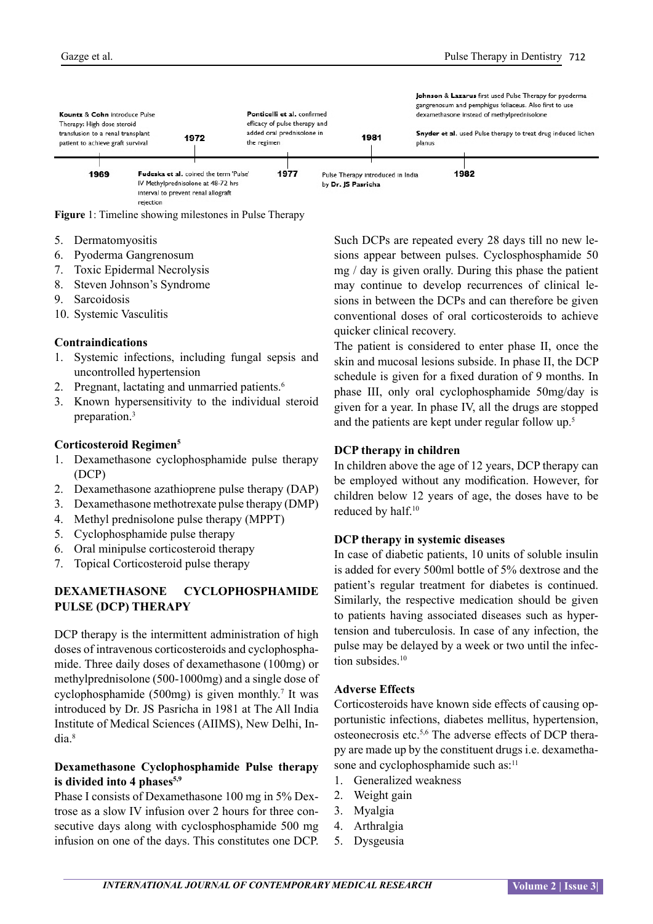

**Figure** 1: Timeline showing milestones in Pulse Therapy

- 5. Dermatomyositis
- 6. Pyoderma Gangrenosum
- 7. Toxic Epidermal Necrolysis
- 8. Steven Johnson's Syndrome
- 9. Sarcoidosis
- 10. Systemic Vasculitis

#### **Contraindications**

- 1. Systemic infections, including fungal sepsis and uncontrolled hypertension
- 2. Pregnant, lactating and unmarried patients.<sup>6</sup>
- 3. Known hypersensitivity to the individual steroid preparation.<sup>3</sup>

#### **Corticosteroid Regimen5**

- 1. Dexamethasone cyclophosphamide pulse therapy (DCP)
- 2. Dexamethasone azathioprene pulse therapy (DAP)
- 3. Dexamethasone methotrexate pulse therapy (DMP)
- 4. Methyl prednisolone pulse therapy (MPPT)
- 5. Cyclophosphamide pulse therapy
- 6. Oral minipulse corticosteroid therapy
- 7. Topical Corticosteroid pulse therapy

## **DEXAMETHASONE CYCLOPHOSPHAMIDE PULSE (DCP) THERAPY**

DCP therapy is the intermittent administration of high doses of intravenous corticosteroids and cyclophosphamide. Three daily doses of dexamethasone (100mg) or methylprednisolone (500-1000mg) and a single dose of cyclophosphamide  $(500mg)$  is given monthly.<sup>7</sup> It was introduced by Dr. JS Pasricha in 1981 at The All India Institute of Medical Sciences (AIIMS), New Delhi, India.<sup>8</sup>

## **Dexamethasone Cyclophosphamide Pulse therapy**  is divided into 4 phases<sup>5,9</sup>

Phase I consists of Dexamethasone 100 mg in 5% Dextrose as a slow IV infusion over 2 hours for three consecutive days along with cyclosphosphamide 500 mg infusion on one of the days. This constitutes one DCP. Such DCPs are repeated every 28 days till no new lesions appear between pulses. Cyclosphosphamide 50 mg / day is given orally. During this phase the patient may continue to develop recurrences of clinical lesions in between the DCPs and can therefore be given conventional doses of oral corticosteroids to achieve quicker clinical recovery.

The patient is considered to enter phase II, once the skin and mucosal lesions subside. In phase II, the DCP schedule is given for a fixed duration of 9 months. In phase III, only oral cyclophosphamide 50mg/day is given for a year. In phase IV, all the drugs are stopped and the patients are kept under regular follow up.<sup>5</sup>

#### **DCP therapy in children**

In children above the age of 12 years, DCP therapy can be employed without any modification. However, for children below 12 years of age, the doses have to be reduced by half.<sup>10</sup>

#### **DCP therapy in systemic diseases**

In case of diabetic patients, 10 units of soluble insulin is added for every 500ml bottle of 5% dextrose and the patient's regular treatment for diabetes is continued. Similarly, the respective medication should be given to patients having associated diseases such as hypertension and tuberculosis. In case of any infection, the pulse may be delayed by a week or two until the infection subsides.<sup>10</sup>

#### **Adverse Effects**

Corticosteroids have known side effects of causing opportunistic infections, diabetes mellitus, hypertension, osteonecrosis etc.5,6 The adverse effects of DCP therapy are made up by the constituent drugs i.e. dexamethasone and cyclophosphamide such as:<sup>11</sup>

- 1. Generalized weakness
- 2. Weight gain
- 3. Myalgia
- 4. Arthralgia
- 5. Dysgeusia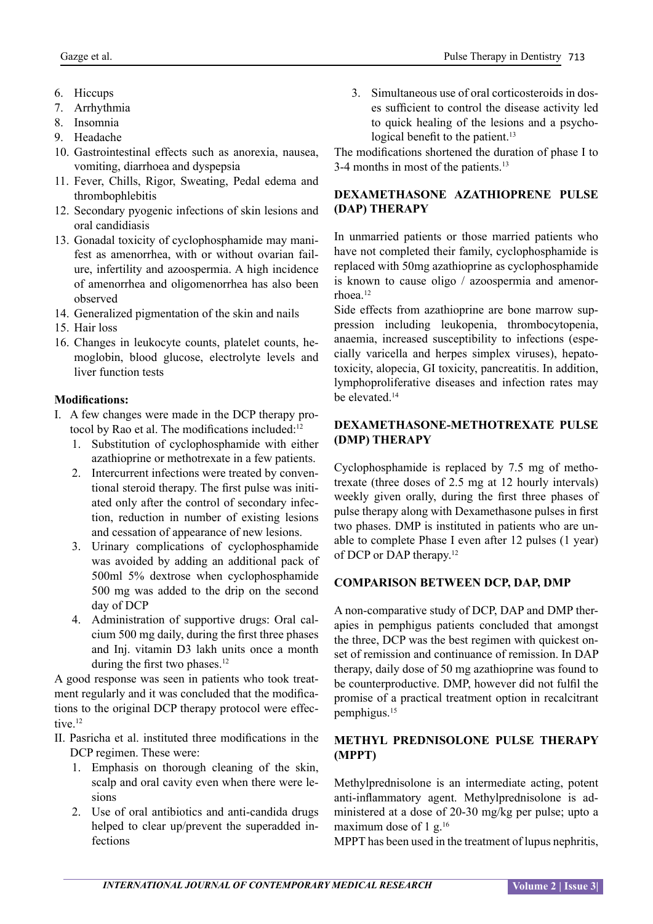- 6. Hiccups
- 7. Arrhythmia
- 8. Insomnia
- 9. Headache
- 10. Gastrointestinal effects such as anorexia, nausea, vomiting, diarrhoea and dyspepsia
- 11. Fever, Chills, Rigor, Sweating, Pedal edema and thrombophlebitis
- 12. Secondary pyogenic infections of skin lesions and oral candidiasis
- 13. Gonadal toxicity of cyclophosphamide may manifest as amenorrhea, with or without ovarian failure, infertility and azoospermia. A high incidence of amenorrhea and oligomenorrhea has also been observed
- 14. Generalized pigmentation of the skin and nails
- 15. Hair loss
- 16. Changes in leukocyte counts, platelet counts, hemoglobin, blood glucose, electrolyte levels and liver function tests

# **Modifications:**

- I. A few changes were made in the DCP therapy protocol by Rao et al. The modifications included:<sup>12</sup>
	- 1. Substitution of cyclophosphamide with either azathioprine or methotrexate in a few patients.
	- 2. Intercurrent infections were treated by conventional steroid therapy. The first pulse was initiated only after the control of secondary infection, reduction in number of existing lesions and cessation of appearance of new lesions.
	- 3. Urinary complications of cyclophosphamide was avoided by adding an additional pack of 500ml 5% dextrose when cyclophosphamide 500 mg was added to the drip on the second day of DCP
	- 4. Administration of supportive drugs: Oral calcium 500 mg daily, during the first three phases and Inj. vitamin D3 lakh units once a month during the first two phases.<sup>12</sup>

A good response was seen in patients who took treatment regularly and it was concluded that the modifications to the original DCP therapy protocol were effective.<sup>12</sup>

- II. Pasricha et al. instituted three modifications in the DCP regimen. These were:
	- 1. Emphasis on thorough cleaning of the skin, scalp and oral cavity even when there were lesions
	- 2. Use of oral antibiotics and anti-candida drugs helped to clear up/prevent the superadded infections

3. Simultaneous use of oral corticosteroids in doses sufficient to control the disease activity led to quick healing of the lesions and a psychological benefit to the patient.<sup>13</sup>

The modifications shortened the duration of phase I to 3-4 months in most of the patients.<sup>13</sup>

# **DEXAMETHASONE AZATHIOPRENE PULSE (DAP) THERAPY**

In unmarried patients or those married patients who have not completed their family, cyclophosphamide is replaced with 50mg azathioprine as cyclophosphamide is known to cause oligo / azoospermia and amenorrhoea.<sup>12</sup>

Side effects from azathioprine are bone marrow suppression including leukopenia, thrombocytopenia, anaemia, increased susceptibility to infections (especially varicella and herpes simplex viruses), hepatotoxicity, alopecia, GI toxicity, pancreatitis. In addition, lymphoproliferative diseases and infection rates may be elevated.<sup>14</sup>

# **DEXAMETHASONE-METHOTREXATE PULSE (DMP) THERAPY**

Cyclophosphamide is replaced by 7.5 mg of methotrexate (three doses of 2.5 mg at 12 hourly intervals) weekly given orally, during the first three phases of pulse therapy along with Dexamethasone pulses in first two phases. DMP is instituted in patients who are unable to complete Phase I even after 12 pulses (1 year) of DCP or DAP therapy.<sup>12</sup>

# **COMPARISON BETWEEN DCP, DAP, DMP**

A non-comparative study of DCP, DAP and DMP therapies in pemphigus patients concluded that amongst the three, DCP was the best regimen with quickest onset of remission and continuance of remission. In DAP therapy, daily dose of 50 mg azathioprine was found to be counterproductive. DMP, however did not fulfil the promise of a practical treatment option in recalcitrant pemphigus.<sup>15</sup>

# **METHYL PREDNISOLONE PULSE THERAPY (MPPT)**

Methylprednisolone is an intermediate acting, potent anti-inflammatory agent. Methylprednisolone is administered at a dose of 20-30 mg/kg per pulse; upto a maximum dose of 1 g.<sup>16</sup>

MPPT has been used in the treatment of lupus nephritis,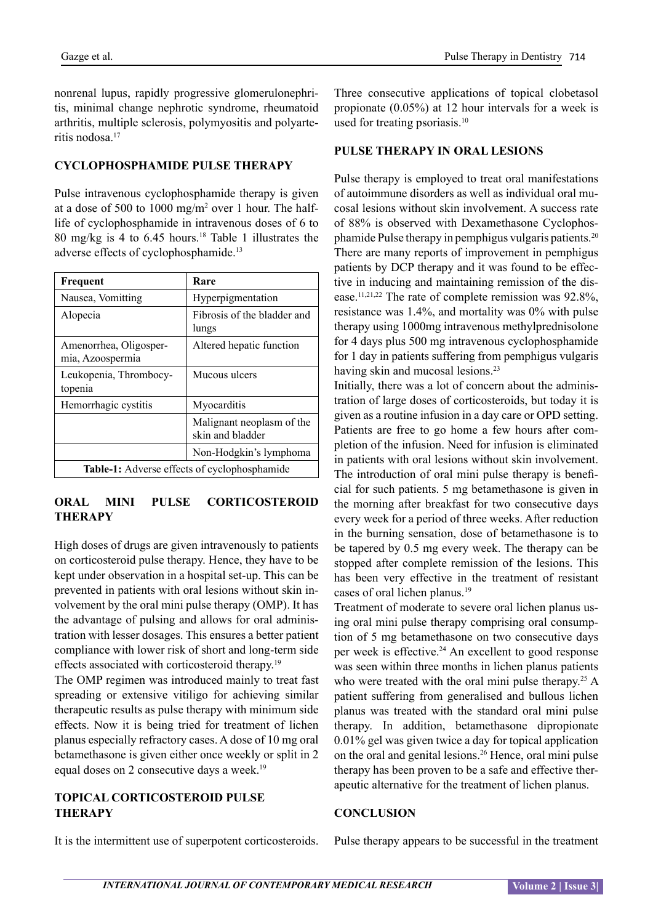nonrenal lupus, rapidly progressive glomerulonephritis, minimal change nephrotic syndrome, rheumatoid arthritis, multiple sclerosis, polymyositis and polyarteritis nodosa.<sup>17</sup>

# **CYCLOPHOSPHAMIDE PULSE THERAPY**

Pulse intravenous cyclophosphamide therapy is given at a dose of 500 to 1000 mg/m2 over 1 hour. The halflife of cyclophosphamide in intravenous doses of 6 to 80 mg/kg is 4 to 6.45 hours.18 Table 1 illustrates the adverse effects of cyclophosphamide.<sup>13</sup>

| Frequent                                            | Rare                                          |
|-----------------------------------------------------|-----------------------------------------------|
| Nausea, Vomitting                                   | Hyperpigmentation                             |
| Alopecia                                            | Fibrosis of the bladder and<br>lungs          |
| Amenorrhea, Oligosper-<br>mia, Azoospermia          | Altered hepatic function                      |
| Leukopenia, Thrombocy-<br>topenia                   | Mucous ulcers                                 |
| Hemorrhagic cystitis                                | Myocarditis                                   |
|                                                     | Malignant neoplasm of the<br>skin and bladder |
|                                                     | Non-Hodgkin's lymphoma                        |
| <b>Table-1:</b> Adverse effects of cyclophosphamide |                                               |

## **ORAL MINI PULSE CORTICOSTEROID THERAPY**

High doses of drugs are given intravenously to patients on corticosteroid pulse therapy. Hence, they have to be kept under observation in a hospital set-up. This can be prevented in patients with oral lesions without skin involvement by the oral mini pulse therapy (OMP). It has the advantage of pulsing and allows for oral administration with lesser dosages. This ensures a better patient compliance with lower risk of short and long-term side effects associated with corticosteroid therapy.<sup>19</sup>

The OMP regimen was introduced mainly to treat fast spreading or extensive vitiligo for achieving similar therapeutic results as pulse therapy with minimum side effects. Now it is being tried for treatment of lichen planus especially refractory cases. A dose of 10 mg oral betamethasone is given either once weekly or split in 2 equal doses on 2 consecutive days a week.<sup>19</sup>

# **TOPICAL CORTICOSTEROID PULSE THERAPY**

It is the intermittent use of superpotent corticosteroids.

Three consecutive applications of topical clobetasol propionate (0.05%) at 12 hour intervals for a week is used for treating psoriasis.<sup>10</sup>

## **PULSE THERAPY IN ORAL LESIONS**

Pulse therapy is employed to treat oral manifestations of autoimmune disorders as well as individual oral mucosal lesions without skin involvement. A success rate of 88% is observed with Dexamethasone Cyclophosphamide Pulse therapy in pemphigus vulgaris patients.<sup>20</sup> There are many reports of improvement in pemphigus patients by DCP therapy and it was found to be effective in inducing and maintaining remission of the disease.11,21,22 The rate of complete remission was 92.8%, resistance was 1.4%, and mortality was 0% with pulse therapy using 1000mg intravenous methylprednisolone for 4 days plus 500 mg intravenous cyclophosphamide for 1 day in patients suffering from pemphigus vulgaris having skin and mucosal lesions.<sup>23</sup>

Initially, there was a lot of concern about the administration of large doses of corticosteroids, but today it is given as a routine infusion in a day care or OPD setting. Patients are free to go home a few hours after completion of the infusion. Need for infusion is eliminated in patients with oral lesions without skin involvement. The introduction of oral mini pulse therapy is beneficial for such patients. 5 mg betamethasone is given in the morning after breakfast for two consecutive days every week for a period of three weeks. After reduction in the burning sensation, dose of betamethasone is to be tapered by 0.5 mg every week. The therapy can be stopped after complete remission of the lesions. This has been very effective in the treatment of resistant cases of oral lichen planus.<sup>19</sup>

Treatment of moderate to severe oral lichen planus using oral mini pulse therapy comprising oral consumption of 5 mg betamethasone on two consecutive days per week is effective.<sup>24</sup> An excellent to good response was seen within three months in lichen planus patients who were treated with the oral mini pulse therapy.<sup>25</sup> A patient suffering from generalised and bullous lichen planus was treated with the standard oral mini pulse therapy. In addition, betamethasone dipropionate 0.01% gel was given twice a day for topical application on the oral and genital lesions.<sup>26</sup> Hence, oral mini pulse therapy has been proven to be a safe and effective therapeutic alternative for the treatment of lichen planus.

## **CONCLUSION**

Pulse therapy appears to be successful in the treatment